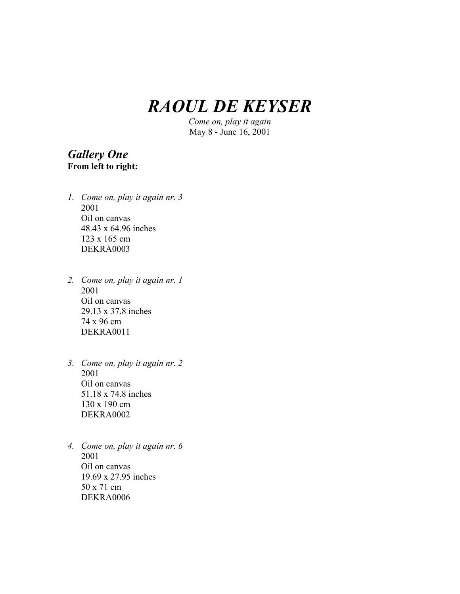# *RAOUL DE KEYSER*

*Come on, play it again* May 8 - June 16, 2001

#### *Gallery One* **From left to right:**

- *1. Come on, play it again nr. 3* 2001 Oil on canvas 48.43 x 64.96 inches 123 x 165 cm DEKRA0003
- *2. Come on, play it again nr. 1* 2001 Oil on canvas 29.13 x 37.8 inches 74 x 96 cm DEKRA0011
- *3. Come on, play it again nr. 2* 2001 Oil on canvas 51.18 x 74.8 inches 130 x 190 cm DEKRA0002
- *4. Come on, play it again nr. 6* 2001 Oil on canvas 19.69 x 27.95 inches 50 x 71 cm DEKRA0006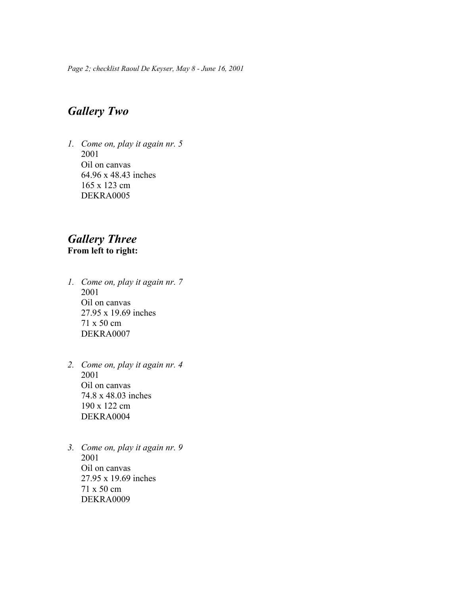*Page 2; checklist Raoul De Keyser, May 8 - June 16, 2001*

## *Gallery Two*

*1. Come on, play it again nr. 5* 2001 Oil on canvas 64.96 x 48.43 inches 165 x 123 cm DEKRA0005

#### *Gallery Three* **From left to right:**

- *1. Come on, play it again nr. 7* 2001 Oil on canvas 27.95 x 19.69 inches 71 x 50 cm DEKRA0007
- *2. Come on, play it again nr. 4* 2001 Oil on canvas 74.8 x 48.03 inches 190 x 122 cm DEKRA0004
- *3. Come on, play it again nr. 9* 2001 Oil on canvas 27.95 x 19.69 inches 71 x 50 cm DEKRA0009